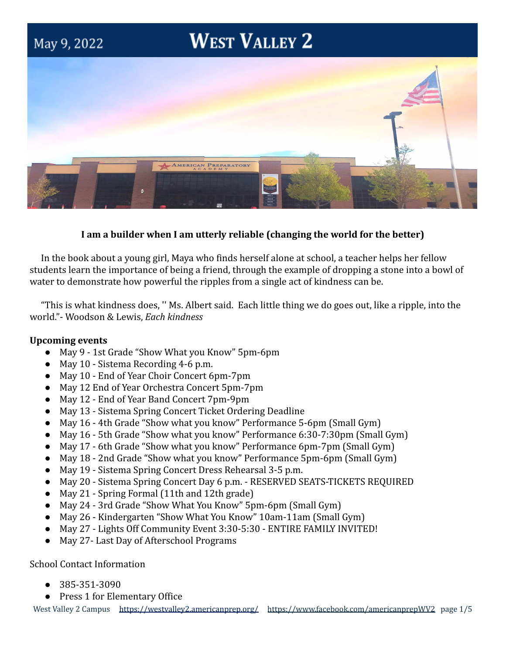

# **I am a builder when I am utterly reliable (changing the world for the better)**

In the book about a young girl, Maya who finds herself alone at school, a teacher helps her fellow students learn the importance of being a friend, through the example of dropping a stone into a bowl of water to demonstrate how powerful the ripples from a single act of kindness can be.

"This is what kindness does, '' Ms. Albert said. Each little thing we do goes out, like a ripple, into the world."- Woodson & Lewis, *Each kindness*

## **Upcoming events**

- May 9 1st Grade "Show What you Know" 5pm-6pm
- May 10 Sistema Recording 4-6 p.m.
- May 10 End of Year Choir Concert 6pm-7pm
- May 12 End of Year Orchestra Concert 5pm-7pm
- May 12 End of Year Band Concert 7pm-9pm
- May 13 Sistema Spring Concert Ticket Ordering Deadline
- May 16 4th Grade "Show what you know" Performance 5-6pm (Small Gym)
- May 16 5th Grade "Show what you know" Performance 6:30-7:30pm (Small Gym)
- May 17 6th Grade "Show what you know" Performance 6pm-7pm (Small Gym)
- May 18 2nd Grade "Show what you know" Performance 5pm-6pm (Small Gym)
- May 19 Sistema Spring Concert Dress Rehearsal 3-5 p.m.
- May 20 Sistema Spring Concert Day 6 p.m. RESERVED SEATS-TICKETS REQUIRED
- May 21 Spring Formal (11th and 12th grade)
- May 24 3rd Grade "Show What You Know" 5pm-6pm (Small Gym)
- May 26 Kindergarten "Show What You Know" 10am-11am (Small Gym)
- May 27 Lights Off Community Event 3:30-5:30 ENTIRE FAMILY INVITED!
- May 27- Last Day of Afterschool Programs

School Contact Information

- 385-351-3090
- Press 1 for Elementary Office

West Valley 2 Campus <https://westvalley2.americanprep.org/> <https://www.facebook.com/americanprepWV2> page 1/5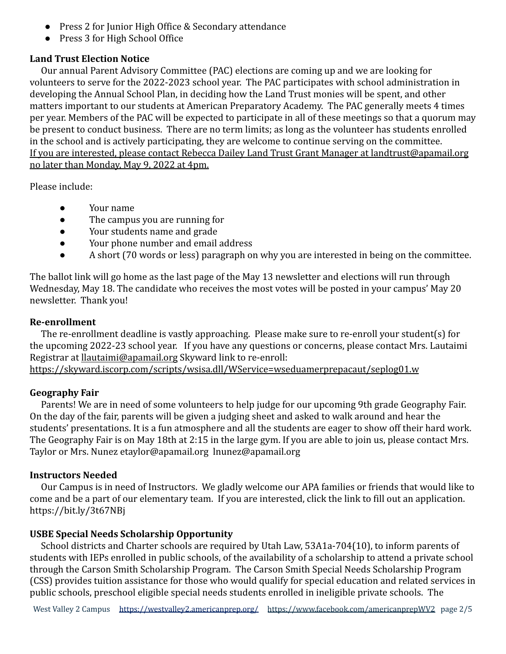- Press 2 for Junior High Office & Secondary attendance
- Press 3 for High School Office

# **Land Trust Election Notice**

Our annual Parent Advisory Committee (PAC) elections are coming up and we are looking for volunteers to serve for the 2022-2023 school year. The PAC participates with school administration in developing the Annual School Plan, in deciding how the Land Trust monies will be spent, and other matters important to our students at American Preparatory Academy. The PAC generally meets 4 times per year. Members of the PAC will be expected to participate in all of these meetings so that a quorum may be present to conduct business. There are no term limits; as long as the volunteer has students enrolled in the school and is actively participating, they are welcome to continue serving on the committee. If you are interested, please contact Rebecca Dailey Land Trust Grant Manager at landtrust@apamail.org no later than Monday, May 9, 2022 at 4pm.

Please include:

- Your name
- The campus you are running for
- Your students name and grade
- Your phone number and email address
- A short (70 words or less) paragraph on why you are interested in being on the committee.

The ballot link will go home as the last page of the May 13 newsletter and elections will run through Wednesday, May 18. The candidate who receives the most votes will be posted in your campus' May 20 newsletter. Thank you!

## **Re-enrollment**

The re-enrollment deadline is vastly approaching. Please make sure to re-enroll your student(s) for the upcoming 2022-23 school year. If you have any questions or concerns, please contact Mrs. Lautaimi Registrar at [llautaimi@apamail.org](mailto:llautaimi@apamail.org) Skyward link to re-enroll: <https://skyward.iscorp.com/scripts/wsisa.dll/WService=wseduamerprepacaut/seplog01.w>

# **Geography Fair**

Parents! We are in need of some volunteers to help judge for our upcoming 9th grade Geography Fair. On the day of the fair, parents will be given a judging sheet and asked to walk around and hear the students' presentations. It is a fun atmosphere and all the students are eager to show off their hard work. The Geography Fair is on May 18th at 2:15 in the large gym. If you are able to join us, please contact Mrs. Taylor or Mrs. Nunez etaylor@apamail.org lnunez@apamail.org

# **Instructors Needed**

Our Campus is in need of Instructors. We gladly welcome our APA families or friends that would like to come and be a part of our elementary team. If you are interested, click the link to fill out an application. <https://bit.ly/3t67NBj>

# **USBE Special Needs Scholarship Opportunity**

School districts and Charter schools are required by Utah Law, 53A1a-704(10), to inform parents of students with IEPs enrolled in public schools, of the availability of a scholarship to attend a private school through the Carson Smith Scholarship Program. The Carson Smith Special Needs Scholarship Program (CSS) provides tuition assistance for those who would qualify for special education and related services in public schools, preschool eligible special needs students enrolled in ineligible private schools. The

West Valley 2 Campus <https://westvalley2.americanprep.org/> <https://www.facebook.com/americanprepWV2> page 2/5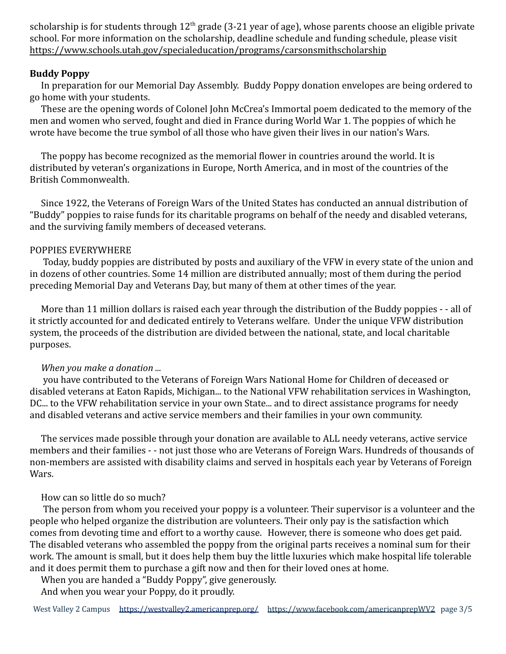scholarship is for students through  $12<sup>th</sup>$  grade (3-21 year of age), whose parents choose an eligible private school. For more information on the scholarship, deadline schedule and funding schedule, please visit <https://www.schools.utah.gov/specialeducation/programs/carsonsmithscholarship>

## **Buddy Poppy**

In preparation for our Memorial Day Assembly. Buddy Poppy donation envelopes are being ordered to go home with your students.

These are the opening words of Colonel John McCrea's Immortal poem dedicated to the memory of the men and women who served, fought and died in France during World War 1. The poppies of which he wrote have become the true symbol of all those who have given their lives in our nation's Wars.

The poppy has become recognized as the memorial flower in countries around the world. It is distributed by veteran's organizations in Europe, North America, and in most of the countries of the British Commonwealth.

Since 1922, the Veterans of Foreign Wars of the United States has conducted an annual distribution of "Buddy" poppies to raise funds for its charitable programs on behalf of the needy and disabled veterans, and the surviving family members of deceased veterans.

#### POPPIES EVERYWHERE

Today, buddy poppies are distributed by posts and auxiliary of the VFW in every state of the union and in dozens of other countries. Some 14 million are distributed annually; most of them during the period preceding Memorial Day and Veterans Day, but many of them at other times of the year.

More than 11 million dollars is raised each year through the distribution of the Buddy poppies - - all of it strictly accounted for and dedicated entirely to Veterans welfare. Under the unique VFW distribution system, the proceeds of the distribution are divided between the national, state, and local charitable purposes.

### *When you make a donation ...*

you have contributed to the Veterans of Foreign Wars National Home for Children of deceased or disabled veterans at Eaton Rapids, Michigan... to the National VFW rehabilitation services in Washington, DC... to the VFW rehabilitation service in your own State... and to direct assistance programs for needy and disabled veterans and active service members and their families in your own community.

The services made possible through your donation are available to ALL needy veterans, active service members and their families - - not just those who are Veterans of Foreign Wars. Hundreds of thousands of non-members are assisted with disability claims and served in hospitals each year by Veterans of Foreign Wars.

### How can so little do so much?

The person from whom you received your poppy is a volunteer. Their supervisor is a volunteer and the people who helped organize the distribution are volunteers. Their only pay is the satisfaction which comes from devoting time and effort to a worthy cause. However, there is someone who does get paid. The disabled veterans who assembled the poppy from the original parts receives a nominal sum for their work. The amount is small, but it does help them buy the little luxuries which make hospital life tolerable and it does permit them to purchase a gift now and then for their loved ones at home.

When you are handed a "Buddy Poppy", give generously.

And when you wear your Poppy, do it proudly.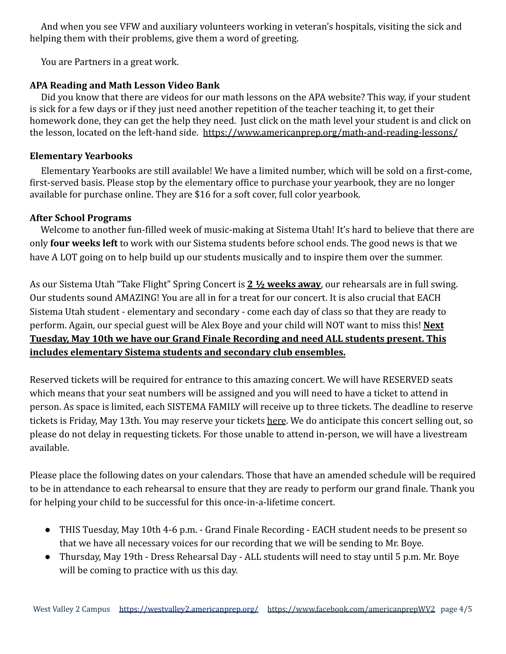And when you see VFW and auxiliary volunteers working in veteran's hospitals, visiting the sick and helping them with their problems, give them a word of greeting.

You are Partners in a great work.

# **APA Reading and Math Lesson Video Bank**

Did you know that there are videos for our math lessons on the APA website? This way, if your student is sick for a few days or if they just need another repetition of the teacher teaching it, to get their homework done, they can get the help they need. Just click on the math level your student is and click on the lesson, located on the left-hand side. <https://www.americanprep.org/math-and-reading-lessons/>

## **Elementary Yearbooks**

Elementary Yearbooks are still available! We have a limited number, which will be sold on a first-come, first-served basis. Please stop by the elementary office to purchase your yearbook, they are no longer available for purchase online. They are \$16 for a soft cover, full color yearbook.

# **After School Programs**

Welcome to another fun-filled week of music-making at Sistema Utah! It's hard to believe that there are only **four weeks left** to work with our Sistema students before school ends. The good news is that we have A LOT going on to help build up our students musically and to inspire them over the summer.

As our Sistema Utah "Take Flight" Spring Concert is **2 ½ weeks away**, our rehearsals are in full swing. Our students sound AMAZING! You are all in for a treat for our concert. It is also crucial that EACH Sistema Utah student - elementary and secondary - come each day of class so that they are ready to perform. Again, our special guest will be Alex Boye and your child will NOT want to miss this! **Next Tuesday, May 10th we have our Grand Finale Recording and need ALL students present. This includes elementary Sistema students and secondary club ensembles.**

Reserved tickets will be required for entrance to this amazing concert. We will have RESERVED seats which means that your seat numbers will be assigned and you will need to have a ticket to attend in person. As space is limited, each SISTEMA FAMILY will receive up to three tickets. The deadline to reserve tickets is Friday, May 13th. You may reserve your tickets [here](https://forms.gle/zrHmMyHrMVTHcSScA). We do anticipate this concert selling out, so please do not delay in requesting tickets. For those unable to attend in-person, we will have a livestream available.

Please place the following dates on your calendars. Those that have an amended schedule will be required to be in attendance to each rehearsal to ensure that they are ready to perform our grand finale. Thank you for helping your child to be successful for this once-in-a-lifetime concert.

- THIS Tuesday, May 10th 4-6 p.m. Grand Finale Recording EACH student needs to be present so that we have all necessary voices for our recording that we will be sending to Mr. Boye.
- Thursday, May 19th Dress Rehearsal Day ALL students will need to stay until 5 p.m. Mr. Boye will be coming to practice with us this day.